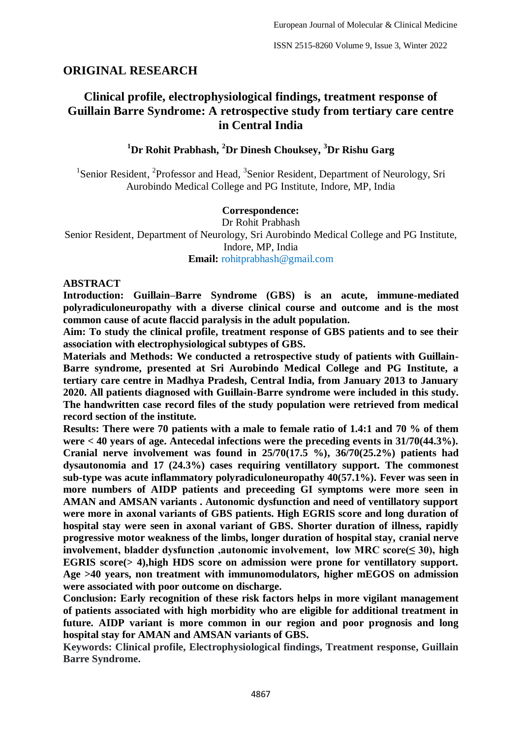# **ORIGINAL RESEARCH**

# **Clinical profile, electrophysiological findings, treatment response of Guillain Barre Syndrome: A retrospective study from tertiary care centre in Central India**

# **<sup>1</sup>Dr Rohit Prabhash, <sup>2</sup>Dr Dinesh Chouksey, <sup>3</sup>Dr Rishu Garg**

<sup>1</sup>Senior Resident, <sup>2</sup>Professor and Head, <sup>3</sup>Senior Resident, Department of Neurology, Sri Aurobindo Medical College and PG Institute, Indore, MP, India

### **Correspondence:**

Dr Rohit Prabhash Senior Resident, Department of Neurology, Sri Aurobindo Medical College and PG Institute, Indore, MP, India **Email:** rohitprabhash@gmail.com

#### **ABSTRACT**

**Introduction: Guillain–Barre Syndrome (GBS) is an acute, immune-mediated polyradiculoneuropathy with a diverse clinical course and outcome and is the most common cause of acute flaccid paralysis in the adult population.**

**Aim: To study the clinical profile, treatment response of GBS patients and to see their association with electrophysiological subtypes of GBS.**

**Materials and Methods: We conducted a retrospective study of patients with Guillain-Barre syndrome, presented at Sri Aurobindo Medical College and PG Institute, a tertiary care centre in Madhya Pradesh, Central India, from January 2013 to January 2020. All patients diagnosed with Guillain-Barre syndrome were included in this study. The handwritten case record files of the study population were retrieved from medical record section of the institute.**

**Results: There were 70 patients with a male to female ratio of 1.4:1 and 70 % of them were < 40 years of age. Antecedal infections were the preceding events in 31/70(44.3%). Cranial nerve involvement was found in 25/70(17.5 %), 36/70(25.2%) patients had dysautonomia and 17 (24.3%) cases requiring ventillatory support. The commonest sub-type was acute inflammatory polyradiculoneuropathy 40(57.1%). Fever was seen in more numbers of AIDP patients and preceeding GI symptoms were more seen in AMAN and AMSAN variants . Autonomic dysfunction and need of ventillatory support were more in axonal variants of GBS patients. High EGRIS score and long duration of hospital stay were seen in axonal variant of GBS. Shorter duration of illness, rapidly progressive motor weakness of the limbs, longer duration of hospital stay, cranial nerve involvement, bladder dysfunction ,autonomic involvement, low MRC score(≤ 30), high EGRIS score(> 4),high HDS score on admission were prone for ventillatory support. Age >40 years, non treatment with immunomodulators, higher mEGOS on admission were associated with poor outcome on discharge.**

**Conclusion: Early recognition of these risk factors helps in more vigilant management of patients associated with high morbidity who are eligible for additional treatment in future. AIDP variant is more common in our region and poor prognosis and long hospital stay for AMAN and AMSAN variants of GBS.**

**Keywords: Clinical profile, Electrophysiological findings, Treatment response, Guillain Barre Syndrome.**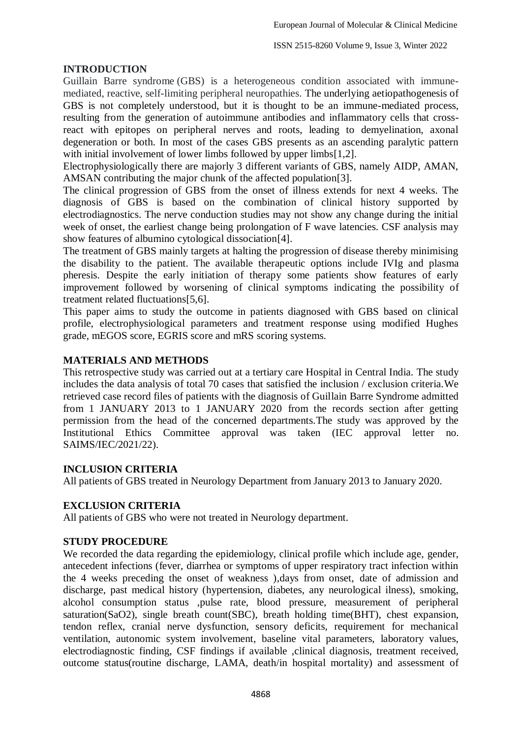### **INTRODUCTION**

Guillain Barre syndrome (GBS) is a heterogeneous condition associated with immunemediated, reactive, self-limiting peripheral neuropathies. The underlying aetiopathogenesis of GBS is not completely understood, but it is thought to be an immune-mediated process, resulting from the generation of autoimmune antibodies and inflammatory cells that crossreact with epitopes on peripheral nerves and roots, leading to demyelination, axonal degeneration or both. In most of the cases GBS presents as an ascending paralytic pattern with initial involvement of lower limbs followed by upper limbs [1,2].

Electrophysiologically there are majorly 3 different variants of GBS, namely AIDP, AMAN, AMSAN contributing the major chunk of the affected population[3].

The clinical progression of GBS from the onset of illness extends for next 4 weeks. The diagnosis of GBS is based on the combination of clinical history supported by electrodiagnostics. The nerve conduction studies may not show any change during the initial week of onset, the earliest change being prolongation of F wave latencies. CSF analysis may show features of albumino cytological dissociation[4].

The treatment of GBS mainly targets at halting the progression of disease thereby minimising the disability to the patient. The available therapeutic options include IVIg and plasma pheresis. Despite the early initiation of therapy some patients show features of early improvement followed by worsening of clinical symptoms indicating the possibility of treatment related fluctuations[5,6].

This paper aims to study the outcome in patients diagnosed with GBS based on clinical profile, electrophysiological parameters and treatment response using modified Hughes grade, mEGOS score, EGRIS score and mRS scoring systems.

### **MATERIALS AND METHODS**

This retrospective study was carried out at a tertiary care Hospital in Central India. The study includes the data analysis of total 70 cases that satisfied the inclusion / exclusion criteria.We retrieved case record files of patients with the diagnosis of Guillain Barre Syndrome admitted from 1 JANUARY 2013 to 1 JANUARY 2020 from the records section after getting permission from the head of the concerned departments.The study was approved by the Institutional Ethics Committee approval was taken (IEC approval letter no. SAIMS/IEC/2021/22).

## **INCLUSION CRITERIA**

All patients of GBS treated in Neurology Department from January 2013 to January 2020.

### **EXCLUSION CRITERIA**

All patients of GBS who were not treated in Neurology department.

### **STUDY PROCEDURE**

We recorded the data regarding the epidemiology, clinical profile which include age, gender, antecedent infections (fever, diarrhea or symptoms of upper respiratory tract infection within the 4 weeks preceding the onset of weakness ),days from onset, date of admission and discharge, past medical history (hypertension, diabetes, any neurological ilness), smoking, alcohol consumption status ,pulse rate, blood pressure, measurement of peripheral saturation(SaO2), single breath count(SBC), breath holding time(BHT), chest expansion, tendon reflex, cranial nerve dysfunction, sensory deficits, requirement for mechanical ventilation, autonomic system involvement, baseline vital parameters, laboratory values, electrodiagnostic finding, CSF findings if available ,clinical diagnosis, treatment received, outcome status(routine discharge, LAMA, death/in hospital mortality) and assessment of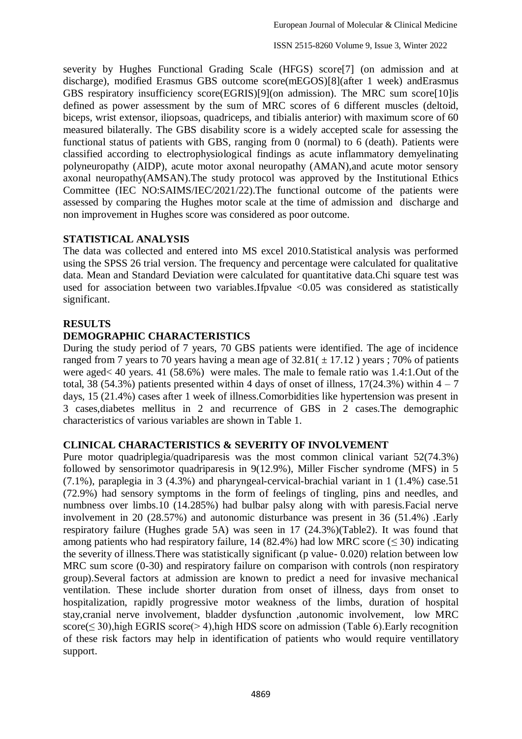severity by Hughes Functional Grading Scale (HFGS) score[7] (on admission and at discharge), modified Erasmus GBS outcome score(mEGOS)[8](after 1 week) andErasmus GBS respiratory insufficiency score(EGRIS)[9](on admission). The MRC sum score[10]is defined as power assessment by the sum of MRC scores of 6 different muscles (deltoid, biceps, wrist extensor, iliopsoas, quadriceps, and tibialis anterior) with maximum score of 60 measured bilaterally. The GBS disability score is a widely accepted scale for assessing the functional status of patients with GBS, ranging from 0 (normal) to 6 (death). Patients were classified according to electrophysiological findings as acute inflammatory demyelinating polyneuropathy (AIDP), acute motor axonal neuropathy (AMAN),and acute motor sensory axonal neuropathy(AMSAN).The study protocol was approved by the Institutional Ethics Committee (IEC NO:SAIMS/IEC/2021/22).The functional outcome of the patients were assessed by comparing the Hughes motor scale at the time of admission and discharge and non improvement in Hughes score was considered as poor outcome.

### **STATISTICAL ANALYSIS**

The data was collected and entered into MS excel 2010.Statistical analysis was performed using the SPSS 26 trial version. The frequency and percentage were calculated for qualitative data. Mean and Standard Deviation were calculated for quantitative data.Chi square test was used for association between two variables.Ifpvalue <0.05 was considered as statistically significant.

## **RESULTS**

## **DEMOGRAPHIC CHARACTERISTICS**

During the study period of 7 years, 70 GBS patients were identified. The age of incidence ranged from 7 years to 70 years having a mean age of  $32.81( \pm 17.12)$  years ; 70% of patients were aged< 40 years. 41 (58.6%) were males. The male to female ratio was 1.4:1.Out of the total, 38 (54.3%) patients presented within 4 days of onset of illness,  $17(24.3\%)$  within  $4 - 7$ days, 15 (21.4%) cases after 1 week of illness.Comorbidities like hypertension was present in 3 cases,diabetes mellitus in 2 and recurrence of GBS in 2 cases.The demographic characteristics of various variables are shown in Table 1.

## **CLINICAL CHARACTERISTICS & SEVERITY OF INVOLVEMENT**

Pure motor quadriplegia/quadriparesis was the most common clinical variant 52(74.3%) followed by sensorimotor quadriparesis in 9(12.9%), Miller Fischer syndrome (MFS) in 5 (7.1%), paraplegia in 3 (4.3%) and pharyngeal-cervical-brachial variant in 1 (1.4%) case.51 (72.9%) had sensory symptoms in the form of feelings of tingling, pins and needles, and numbness over limbs.10 (14.285%) had bulbar palsy along with with paresis.Facial nerve involvement in 20 (28.57%) and autonomic disturbance was present in 36 (51.4%) .Early respiratory failure (Hughes grade 5A) was seen in 17 (24.3%)(Table2). It was found that among patients who had respiratory failure, 14 (82.4%) had low MRC score ( $\leq$  30) indicating the severity of illness.There was statistically significant (p value- 0.020) relation between low MRC sum score (0-30) and respiratory failure on comparison with controls (non respiratory group).Several factors at admission are known to predict a need for invasive mechanical ventilation. These include shorter duration from onset of illness, days from onset to hospitalization, rapidly progressive motor weakness of the limbs, duration of hospital stay,cranial nerve involvement, bladder dysfunction ,autonomic involvement, low MRC score( $\leq$  30), high EGRIS score( $>$  4), high HDS score on admission (Table 6). Early recognition of these risk factors may help in identification of patients who would require ventillatory support.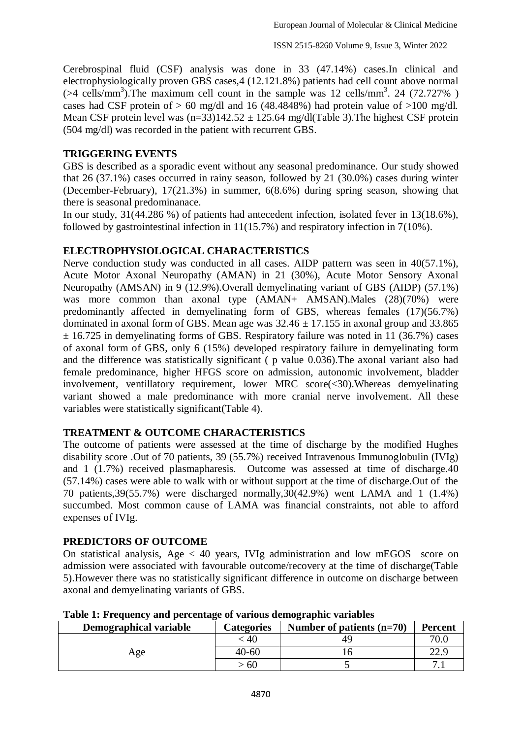Cerebrospinal fluid (CSF) analysis was done in 33 (47.14%) cases.In clinical and electrophysiologically proven GBS cases,4 (12.121.8%) patients had cell count above normal  $($ >4 cells/mm<sup>3</sup>). The maximum cell count in the sample was 12 cells/mm<sup>3</sup>. 24 (72.727%) cases had CSF protein of  $> 60$  mg/dl and 16 (48.4848%) had protein value of  $>100$  mg/dl. Mean CSF protein level was  $(n=33)142.52 \pm 125.64$  mg/dl(Table 3). The highest CSF protein (504 mg/dl) was recorded in the patient with recurrent GBS.

### **TRIGGERING EVENTS**

GBS is described as a sporadic event without any seasonal predominance. Our study showed that 26 (37.1%) cases occurred in rainy season, followed by 21 (30.0%) cases during winter (December-February), 17(21.3%) in summer, 6(8.6%) during spring season, showing that there is seasonal predominanace.

In our study, 31(44.286 %) of patients had antecedent infection, isolated fever in 13(18.6%), followed by gastrointestinal infection in 11(15.7%) and respiratory infection in 7(10%).

### **ELECTROPHYSIOLOGICAL CHARACTERISTICS**

Nerve conduction study was conducted in all cases. AIDP pattern was seen in 40(57.1%), Acute Motor Axonal Neuropathy (AMAN) in 21 (30%), Acute Motor Sensory Axonal Neuropathy (AMSAN) in 9 (12.9%).Overall demyelinating variant of GBS (AIDP) (57.1%) was more common than axonal type  $(AMAN+ AMSAN)$ .Males  $(28)(70%)$  were predominantly affected in demyelinating form of GBS, whereas females (17)(56.7%) dominated in axonal form of GBS. Mean age was  $32.46 \pm 17.155$  in axonal group and 33.865  $\pm$  16.725 in demyelinating forms of GBS. Respiratory failure was noted in 11 (36.7%) cases of axonal form of GBS, only 6 (15%) developed respiratory failure in demyelinating form and the difference was statistically significant ( p value 0.036). The axonal variant also had female predominance, higher HFGS score on admission, autonomic involvement, bladder involvement, ventillatory requirement, lower MRC score(<30).Whereas demyelinating variant showed a male predominance with more cranial nerve involvement. All these variables were statistically significant(Table 4).

### **TREATMENT & OUTCOME CHARACTERISTICS**

The outcome of patients were assessed at the time of discharge by the modified Hughes disability score .Out of 70 patients, 39 (55.7%) received Intravenous Immunoglobulin (IVIg) and 1 (1.7%) received plasmapharesis. Outcome was assessed at time of discharge.40 (57.14%) cases were able to walk with or without support at the time of discharge.Out of the 70 patients,39(55.7%) were discharged normally,30(42.9%) went LAMA and 1 (1.4%) succumbed. Most common cause of LAMA was financial constraints, not able to afford expenses of IVIg.

### **PREDICTORS OF OUTCOME**

On statistical analysis, Age < 40 years, IVIg administration and low mEGOS score on admission were associated with favourable outcome/recovery at the time of discharge(Table 5).However there was no statistically significant difference in outcome on discharge between axonal and demyelinating variants of GBS.

| Demographical variable | <b>Categories</b> | Number of patients $(n=70)$ | <b>Percent</b> |
|------------------------|-------------------|-----------------------------|----------------|
| Age                    | 40                |                             | 70.0           |
|                        | $40 - 60$         |                             | つつ し           |
|                        | 60                |                             |                |

**Table 1: Frequency and percentage of various demographic variables**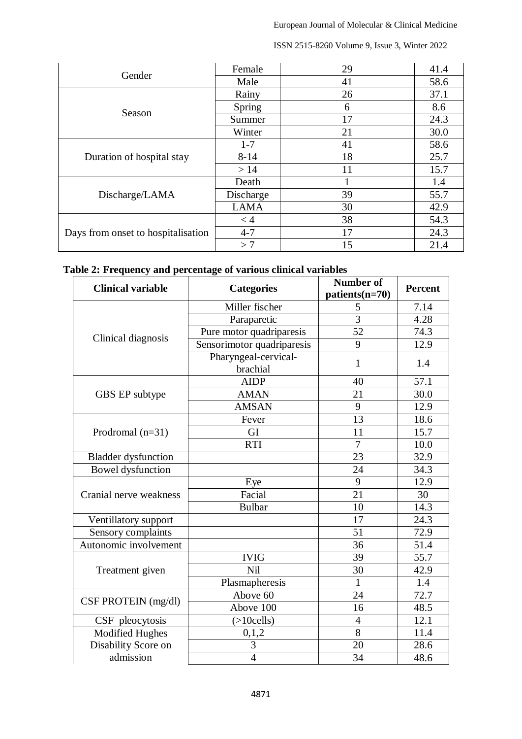| Gender                             | Female      | 29 | 41.4 |
|------------------------------------|-------------|----|------|
|                                    | Male        | 41 | 58.6 |
|                                    | Rainy       | 26 | 37.1 |
| Season                             | Spring      | 6  | 8.6  |
|                                    | Summer      | 17 | 24.3 |
|                                    | Winter      | 21 | 30.0 |
|                                    | $1 - 7$     | 41 | 58.6 |
| Duration of hospital stay          | $8 - 14$    | 18 | 25.7 |
|                                    | >14         | 11 | 15.7 |
|                                    | Death       |    | 1.4  |
| Discharge/LAMA                     | Discharge   | 39 | 55.7 |
|                                    | <b>LAMA</b> | 30 | 42.9 |
|                                    | $<$ 4       | 38 | 54.3 |
| Days from onset to hospitalisation | $4 - 7$     | 17 | 24.3 |
|                                    | >7          | 15 | 21.4 |

# **Table 2: Frequency and percentage of various clinical variables**

| <b>Clinical variable</b>   | <b>Categories</b>                | <b>Number of</b><br>$patients(n=70)$ | <b>Percent</b> |
|----------------------------|----------------------------------|--------------------------------------|----------------|
|                            | Miller fischer                   | 5                                    | 7.14           |
|                            | Paraparetic                      | $\overline{3}$                       | 4.28           |
| Clinical diagnosis         | Pure motor quadriparesis         | 52                                   | 74.3           |
|                            | Sensorimotor quadriparesis       | 9                                    | 12.9           |
|                            | Pharyngeal-cervical-<br>brachial | $\mathbf{1}$                         | 1.4            |
|                            | <b>AIDP</b>                      | 40                                   | 57.1           |
| GBS EP subtype             | <b>AMAN</b>                      | 21                                   | 30.0           |
|                            | <b>AMSAN</b>                     | 9                                    | 12.9           |
|                            | Fever                            | 13                                   | 18.6           |
| Prodromal $(n=31)$         | GI                               | 11                                   | 15.7           |
|                            | <b>RTI</b>                       | $\overline{7}$                       | 10.0           |
| <b>Bladder</b> dysfunction |                                  | 23                                   | 32.9           |
| Bowel dysfunction          |                                  | 24                                   | 34.3           |
|                            | Eye                              | 9                                    | 12.9           |
| Cranial nerve weakness     | Facial                           | 21                                   | 30             |
|                            | <b>Bulbar</b>                    | 10                                   | 14.3           |
| Ventillatory support       |                                  | 17                                   | 24.3           |
| Sensory complaints         |                                  | 51                                   | 72.9           |
| Autonomic involvement      |                                  | 36                                   | 51.4           |
|                            | <b>IVIG</b>                      | 39                                   | 55.7           |
| Treatment given            | Nil                              | 30                                   | 42.9           |
|                            | Plasmapheresis                   | $\mathbf{1}$                         | 1.4            |
| CSF PROTEIN (mg/dl)        | Above 60                         | 24                                   | 72.7           |
|                            | Above 100                        | 16                                   | 48.5           |
| CSF pleocytosis            | $( >10$ cells)                   | $\overline{4}$                       | 12.1           |
| Modified Hughes            | 0,1,2                            | $\overline{8}$                       | 11.4           |
| Disability Score on        | 3                                | 20                                   | 28.6           |
| admission                  | $\overline{4}$                   | 34                                   | 48.6           |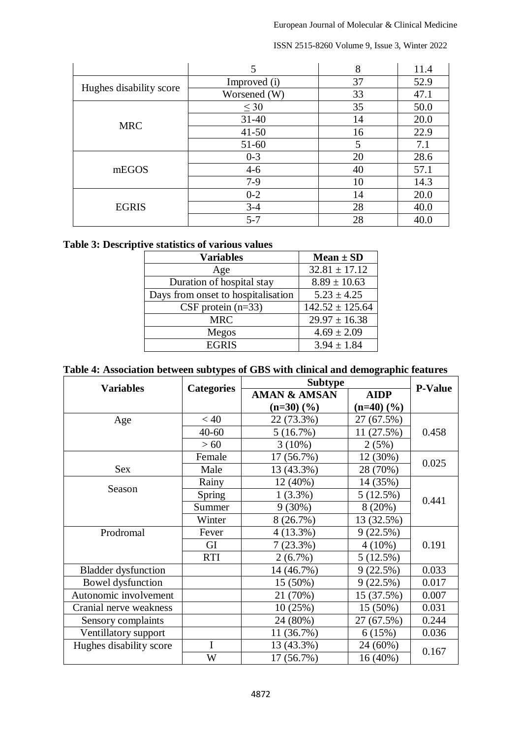|                         |              | 8  | 11.4 |
|-------------------------|--------------|----|------|
|                         | Improved (i) | 37 | 52.9 |
| Hughes disability score | Worsened (W) | 33 | 47.1 |
|                         | $\leq 30$    | 35 | 50.0 |
| <b>MRC</b>              | $31 - 40$    | 14 | 20.0 |
|                         | $41 - 50$    | 16 | 22.9 |
|                         | 51-60        | 5  | 7.1  |
|                         | $0 - 3$      | 20 | 28.6 |
| mEGOS                   | $4 - 6$      | 40 | 57.1 |
|                         | $7-9$        | 10 | 14.3 |
| <b>EGRIS</b>            | $0 - 2$      | 14 | 20.0 |
|                         | $3 - 4$      | 28 | 40.0 |
|                         | $5 - 7$      | 28 | 40.0 |

## **Table 3: Descriptive statistics of various values**

| <b>Variables</b>                   | $Mean \pm SD$       |
|------------------------------------|---------------------|
| Age                                | $32.81 \pm 17.12$   |
| Duration of hospital stay          | $8.89 \pm 10.63$    |
| Days from onset to hospitalisation | $5.23 \pm 4.25$     |
| CSF protein $(n=33)$               | $142.52 \pm 125.64$ |
| <b>MRC</b>                         | $29.97 \pm 16.38$   |
| Megos                              | $4.69 \pm 2.09$     |
| <b>EGRIS</b>                       | $3.94 \pm 1.84$     |

## **Table 4: Association between subtypes of GBS with clinical and demographic features**

|                            |                   | <b>Subtype</b>           | <b>P-Value</b>           |       |
|----------------------------|-------------------|--------------------------|--------------------------|-------|
| <b>Variables</b>           | <b>Categories</b> | <b>AMAN &amp; AMSAN</b>  | <b>AIDP</b>              |       |
|                            |                   | $(n=30)$ $(\frac{9}{6})$ | $(n=40)$ $(\frac{9}{6})$ |       |
| Age                        | < 40              | 22 (73.3%)               | 27 (67.5%)               |       |
|                            | $40 - 60$         | 5(16.7%)                 | 11 (27.5%)               | 0.458 |
|                            | >60               | $3(10\%)$                | 2(5%)                    |       |
|                            | Female            | 17 (56.7%)               | 12 (30%)                 |       |
| Sex                        | Male              | 13 (43.3%)               | 28 (70%)                 | 0.025 |
|                            | Rainy             | 12 (40%)                 | 14 (35%)                 |       |
| Season                     | <b>Spring</b>     | $1(3.3\%)$               | 5(12.5%)                 |       |
|                            | Summer            | $9(30\%)$                | $8(20\%)$                | 0.441 |
|                            | Winter            | 8(26.7%)                 | 13 (32.5%)               |       |
| Prodromal                  | Fever             | $4(13.3\%)$              | 9(22.5%)                 |       |
|                            | GI                | 7(23.3%)                 | $4(10\%)$                | 0.191 |
|                            | <b>RTI</b>        | $2(6.7\%)$               | 5(12.5%)                 |       |
| <b>Bladder</b> dysfunction |                   | 14 (46.7%)               | 9(22.5%)                 | 0.033 |
| Bowel dysfunction          |                   | 15 (50%)                 | 9(22.5%)                 | 0.017 |
| Autonomic involvement      |                   | 21 (70%)                 | 15 (37.5%)               | 0.007 |
| Cranial nerve weakness     |                   | 10(25%)                  | $15(50\%)$               | 0.031 |
| Sensory complaints         |                   | 24 (80%)                 | 27 (67.5%)               | 0.244 |
| Ventillatory support       |                   | 11 (36.7%)               | 6(15%)                   | 0.036 |
| Hughes disability score    | $\mathbf I$       | 13 (43.3%)               | 24 (60%)                 |       |
|                            | W                 | 17 (56.7%)               | 16 (40%)                 | 0.167 |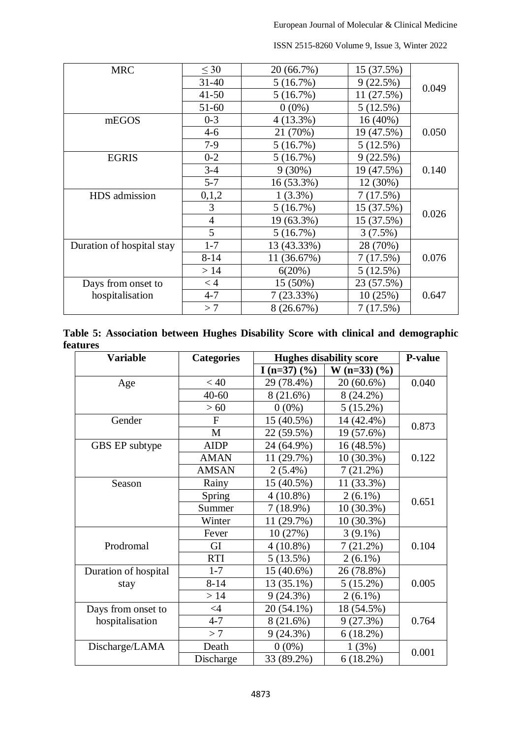| <b>MRC</b>                | $\leq 30$      | 20 (66.7%)  | 15 (37.5%) |       |
|---------------------------|----------------|-------------|------------|-------|
|                           | $31 - 40$      | 5(16.7%)    | 9(22.5%)   | 0.049 |
|                           | $41 - 50$      | 5(16.7%)    | 11 (27.5%) |       |
|                           | 51-60          | $0(0\%)$    | 5(12.5%)   |       |
| mEGOS                     | $0 - 3$        | $4(13.3\%)$ | 16 (40%)   |       |
|                           | $4 - 6$        | 21 (70%)    | 19 (47.5%) | 0.050 |
|                           | $7-9$          | 5(16.7%)    | 5(12.5%)   |       |
| <b>EGRIS</b>              | $0 - 2$        | 5(16.7%)    | 9(22.5%)   |       |
|                           | $3 - 4$        | $9(30\%)$   | 19 (47.5%) | 0.140 |
|                           | $5 - 7$        | 16 (53.3%)  | 12 (30%)   |       |
| HDS admission             | 0,1,2          | $1(3.3\%)$  | 7(17.5%)   |       |
|                           | 3              | 5(16.7%)    | 15 (37.5%) | 0.026 |
|                           | $\overline{4}$ | 19 (63.3%)  | 15 (37.5%) |       |
|                           | 5              | 5(16.7%)    | 3(7.5%)    |       |
| Duration of hospital stay | $1 - 7$        | 13 (43.33%) | 28 (70%)   |       |
|                           | $8 - 14$       | 11 (36.67%) | 7(17.5%)   | 0.076 |
|                           | >14            | 6(20%)      | 5(12.5%)   |       |
| Days from onset to        | < 4            | 15 (50%)    | 23 (57.5%) |       |
| hospitalisation           | $4 - 7$        | 7(23.33%)   | 10(25%)    | 0.647 |
|                           | >7             | 8 (26.67%)  | 7(17.5%)   |       |

|          |  |  |  |  | Table 5: Association between Hughes Disability Score with clinical and demographic |
|----------|--|--|--|--|------------------------------------------------------------------------------------|
| features |  |  |  |  |                                                                                    |

| <b>Variable</b>      | <b>Categories</b> | <b>Hughes disability score</b> | <b>P-value</b>   |       |
|----------------------|-------------------|--------------------------------|------------------|-------|
|                      |                   | I (n=37) $(\frac{9}{6})$       | W (n=33) $(\% )$ |       |
| Age                  | < 40              | 29 (78.4%)                     | 20 (60.6%)       | 0.040 |
|                      | $40 - 60$         | 8(21.6%)                       | $8(24.2\%)$      |       |
|                      | >60               | $0(0\%)$                       | $5(15.2\%)$      |       |
| Gender               | $\mathbf{F}$      | 15 (40.5%)                     | 14 (42.4%)       | 0.873 |
|                      | M                 | 22 (59.5%)                     | 19 (57.6%)       |       |
| GBS EP subtype       | <b>AIDP</b>       | 24 (64.9%)                     | 16 (48.5%)       |       |
|                      | <b>AMAN</b>       | 11 (29.7%)                     | 10 (30.3%)       | 0.122 |
|                      | <b>AMSAN</b>      | $2(5.4\%)$                     | $7(21.2\%)$      |       |
| Season               | Rainy             | 15 (40.5%)                     | 11 (33.3%)       |       |
|                      | Spring            | $4(10.8\%)$                    | $2(6.1\%)$       | 0.651 |
|                      | Summer            | 7(18.9%)                       | 10 (30.3%)       |       |
|                      | Winter            | 11 (29.7%)                     | 10 (30.3%)       |       |
|                      | Fever             | 10(27%)                        | $3(9.1\%)$       |       |
| Prodromal            | GI                | $4(10.8\%)$                    | $7(21.2\%)$      | 0.104 |
|                      | <b>RTI</b>        | 5(13.5%)                       | $2(6.1\%)$       |       |
| Duration of hospital | $1 - 7$           | 15 (40.6%)                     | 26 (78.8%)       |       |
| stay                 | $8 - 14$          | 13 (35.1%)                     | $5(15.2\%)$      | 0.005 |
|                      | >14               | 9(24.3%)                       | $2(6.1\%)$       |       |
| Days from onset to   | $\leq 4$          | 20 (54.1%)                     | 18 (54.5%)       |       |
| hospitalisation      | $4 - 7$           | 8(21.6%)                       | 9(27.3%)         | 0.764 |
|                      | >7                | $9(24.3\%)$                    | 6(18.2%)         |       |
| Discharge/LAMA       | Death             | $0(0\%)$                       | 1(3%)            | 0.001 |
|                      | Discharge         | 33 (89.2%)                     | $6(18.2\%)$      |       |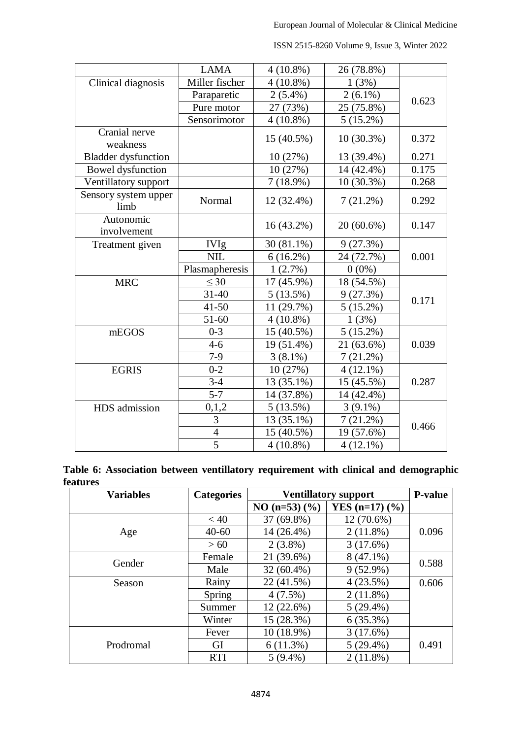|                              | <b>LAMA</b>              | $4(10.8\%)$             | 26 (78.8%)   |       |
|------------------------------|--------------------------|-------------------------|--------------|-------|
| Clinical diagnosis           | Miller fischer           | $4(10.8\%)$             | 1(3%)        |       |
|                              | Paraparetic              | $2(5.4\%)$              | $2(6.1\%)$   | 0.623 |
|                              | Pure motor               | 27 (73%)                | 25 (75.8%)   |       |
|                              | Sensorimotor             | $4(10.8\%)$             | $5(15.2\%)$  |       |
| Cranial nerve                |                          | 15 (40.5%)              | $10(30.3\%)$ | 0.372 |
| weakness                     |                          |                         |              |       |
| <b>Bladder</b> dysfunction   |                          | 10 (27%)                | 13 (39.4%)   | 0.271 |
| Bowel dysfunction            |                          | 10 (27%)                | 14 (42.4%)   | 0.175 |
| Ventillatory support         |                          | 7(18.9%)                | 10 (30.3%)   | 0.268 |
| Sensory system upper<br>limb | Normal                   | 12 (32.4%)              | $7(21.2\%)$  | 0.292 |
| Autonomic<br>involvement     |                          | $16(43.2\%)$            | $20(60.6\%)$ | 0.147 |
| Treatment given              | <b>IVIg</b>              | $30(81.1\%)$            | 9(27.3%)     |       |
|                              | <b>NIL</b>               | $6(16.2\%)$             | 24 (72.7%)   | 0.001 |
|                              | Plasmapheresis           | $1(2.7\%)$              | $0(0\%)$     |       |
| <b>MRC</b>                   | $\leq 30$                | 17 (45.9%)              | 18 (54.5%)   |       |
|                              | $31 - 40$                | 5(13.5%)                | 9(27.3%)     | 0.171 |
|                              | $41 - 50$                | 11 (29.7%)              | $5(15.2\%)$  |       |
|                              | $51 - 60$                | $4(10.8\%)$             | 1(3%)        |       |
| mEGOS                        | $0 - 3$                  | 15 (40.5%)              | $5(15.2\%)$  |       |
|                              | $4 - 6$                  | $\overline{19(51.4\%)}$ | 21 (63.6%)   | 0.039 |
|                              | $7-9$                    | $3(8.1\%)$              | $7(21.2\%)$  |       |
| <b>EGRIS</b>                 | $0 - 2$                  | 10 (27%)                | $4(12.1\%)$  |       |
|                              | $3 - 4$                  | 13 (35.1%)              | 15 (45.5%)   | 0.287 |
|                              | $5 - 7$                  | 14 (37.8%)              | 14 (42.4%)   |       |
| HDS admission                | 0,1,2                    | 5(13.5%)                | $3(9.1\%)$   |       |
|                              | 3                        | 13 (35.1%)              | $7(21.2\%)$  | 0.466 |
|                              | $\overline{\mathcal{A}}$ | 15 (40.5%)              | 19 (57.6%)   |       |
|                              | 5                        | $4(10.8\%)$             | $4(12.1\%)$  |       |

ISSN 2515-8260 Volume 9, Issue 3, Winter 2022

|                 |  |  |  | Table 6: Association between ventillatory requirement with clinical and demographic |
|-----------------|--|--|--|-------------------------------------------------------------------------------------|
| <b>features</b> |  |  |  |                                                                                     |

| <b>Variables</b> | <b>Categories</b> | <b>Ventillatory support</b> | <b>P-value</b>               |       |
|------------------|-------------------|-----------------------------|------------------------------|-------|
|                  |                   | $NO (n=53)$ (%)             | YES $(n=17)$ $(\frac{9}{6})$ |       |
|                  | < 40              | 37 (69.8%)                  | $12(70.6\%)$                 |       |
| Age              | $40 - 60$         | 14 (26.4%)                  | $2(11.8\%)$                  | 0.096 |
|                  | >60               | $2(3.8\%)$                  | 3(17.6%)                     |       |
| Gender           | Female            | 21 (39.6%)                  | $8(47.1\%)$                  | 0.588 |
|                  | Male              | 32 (60.4%)                  | $9(52.9\%)$                  |       |
| Season           | Rainy             | 22 (41.5%)                  | 4(23.5%)                     | 0.606 |
|                  | Spring            | $4(7.5\%)$                  | $2(11.8\%)$                  |       |
|                  | Summer            | $12(22.6\%)$                | $5(29.4\%)$                  |       |
|                  | Winter            | 15 (28.3%)                  | 6(35.3%)                     |       |
|                  | Fever             | $10(18.9\%)$                | 3(17.6%)                     |       |
| Prodromal        | GI                | 6(11.3%)                    | $5(29.4\%)$                  | 0.491 |
|                  | <b>RTI</b>        | $5(9.4\%)$                  | $2(11.8\%)$                  |       |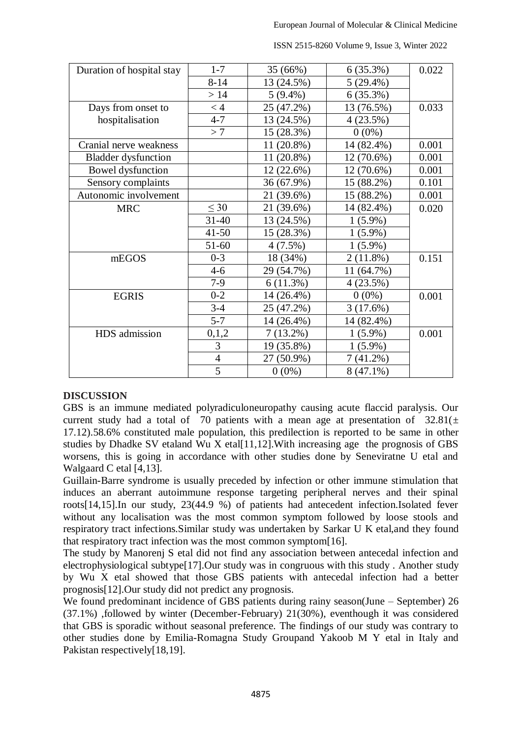| $1 - 7$<br>6(35.3%)<br>35 (66%)<br>Duration of hospital stay<br>$8 - 14$<br>13 (24.5%)<br>$5(29.4\%)$ | 0.022 |
|-------------------------------------------------------------------------------------------------------|-------|
|                                                                                                       |       |
|                                                                                                       |       |
| >14<br>$5(9.4\%)$<br>6(35.3%)                                                                         |       |
| 25 (47.2%)<br>13 (76.5%)<br>$<$ 4<br>Days from onset to                                               | 0.033 |
| hospitalisation<br>$4 - 7$<br>4(23.5%)<br>13 (24.5%)                                                  |       |
| >7<br>(28.3%)<br>$0(0\%)$<br>15                                                                       |       |
| Cranial nerve weakness<br>$(20.8\%)$<br>14 (82.4%)<br>11                                              | 0.001 |
| $(20.8\%)$<br><b>Bladder dysfunction</b><br>12 (70.6%)<br>11                                          | 0.001 |
| Bowel dysfunction<br>12 (22.6%)<br>12 (70.6%)                                                         | 0.001 |
| Sensory complaints<br>36 (67.9%)<br>$(88.2\%)$<br>15                                                  | 0.101 |
| Autonomic involvement<br>15 (88.2%)<br>21 (39.6%)                                                     | 0.001 |
| $\leq 30$<br>21 (39.6%)<br>14 (82.4%)<br><b>MRC</b>                                                   | 0.020 |
| $31 - 40$<br>13 (24.5%)<br>$1(5.9\%)$                                                                 |       |
| $41 - 50$<br>15 (28.3%)<br>$1(5.9\%)$                                                                 |       |
| 51-60<br>$4(7.5\%)$<br>$1(5.9\%)$                                                                     |       |
| $0 - 3$<br>18 (34%)<br>2(11.8%)<br>mEGOS                                                              | 0.151 |
| $4 - 6$<br>29 (54.7%)<br>11 (64.7%)                                                                   |       |
| $7-9$<br>6(11.3%)<br>4(23.5%)                                                                         |       |
| $0 - 2$<br>14 (26.4%)<br>$0(0\%)$<br><b>EGRIS</b>                                                     | 0.001 |
| $3 - 4$<br>25 (47.2%)<br>3(17.6%)                                                                     |       |
| $5 - 7$<br>14 (26.4%)<br>14 (82.4%)                                                                   |       |
| 0,1,2<br>$7(13.2\%)$<br>$(5.9\%)$<br>HDS admission                                                    | 0.001 |
| 3<br>19 (35.8%)<br>$(5.9\%)$                                                                          |       |
| $\overline{4}$<br>27 (50.9%)<br>7(41.2%)                                                              |       |
| 5<br>$0(0\%)$<br>$8(47.1\%)$                                                                          |       |

## **DISCUSSION**

GBS is an immune mediated polyradiculoneuropathy causing acute flaccid paralysis. Our current study had a total of 70 patients with a mean age at presentation of  $32.81(\pm$ 17.12).58.6% constituted male population, this predilection is reported to be same in other studies by Dhadke SV etaland Wu X etal[11,12].With increasing age the prognosis of GBS worsens, this is going in accordance with other studies done by Seneviratne U etal and Walgaard C etal [4,13].

Guillain-Barre syndrome is usually preceded by infection or other immune stimulation that induces an aberrant autoimmune response targeting peripheral nerves and their spinal roots[14,15].In our study, 23(44.9 %) of patients had antecedent infection.Isolated fever without any localisation was the most common symptom followed by loose stools and respiratory tract infections.Similar study was undertaken by Sarkar U K etal,and they found that respiratory tract infection was the most common symptom[16].

The study by Manorenj S etal did not find any association between antecedal infection and electrophysiological subtype<sup>[17]</sup>.Our study was in congruous with this study . Another study by Wu X etal showed that those GBS patients with antecedal infection had a better prognosis[12].Our study did not predict any prognosis.

We found predominant incidence of GBS patients during rainy season(June – September) 26 (37.1%) ,followed by winter (December-February) 21(30%), eventhough it was considered that GBS is sporadic without seasonal preference. The findings of our study was contrary to other studies done by Emilia-Romagna Study Groupand Yakoob M Y etal in Italy and Pakistan respectively[18,19].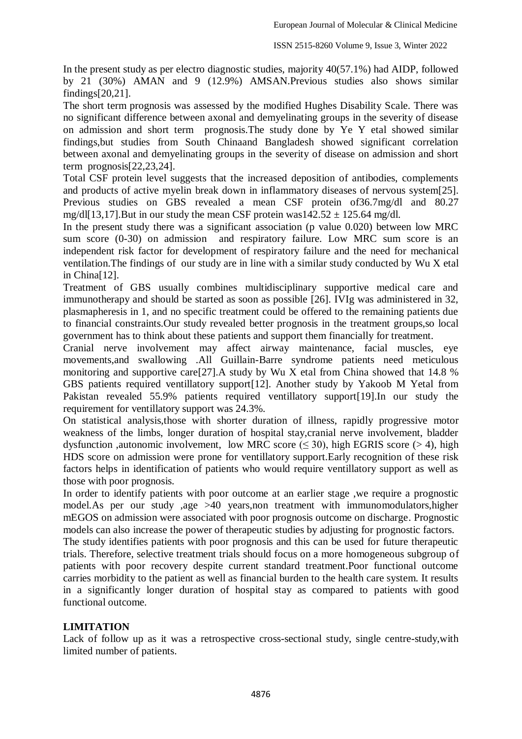In the present study as per electro diagnostic studies, majority 40(57.1%) had AIDP, followed by 21 (30%) AMAN and 9 (12.9%) AMSAN.Previous studies also shows similar findings[20,21].

The short term prognosis was assessed by the modified Hughes Disability Scale. There was no significant difference between axonal and demyelinating groups in the severity of disease on admission and short term prognosis.The study done by Ye Y etal showed similar findings,but studies from South Chinaand Bangladesh showed significant correlation between axonal and demyelinating groups in the severity of disease on admission and short term prognosis[22,23,24].

Total CSF protein level suggests that the increased deposition of antibodies, complements and products of active myelin break down in inflammatory diseases of nervous system[25]. Previous studies on GBS revealed a mean CSF protein of36.7mg/dl and 80.27 mg/dl[13,17].But in our study the mean CSF protein was142.52  $\pm$  125.64 mg/dl.

In the present study there was a significant association (p value 0.020) between low MRC sum score (0-30) on admission and respiratory failure. Low MRC sum score is an independent risk factor for development of respiratory failure and the need for mechanical ventilation.The findings of our study are in line with a similar study conducted by Wu X etal in China[12].

Treatment of GBS usually combines multidisciplinary supportive medical care and immunotherapy and should be started as soon as possible [26]. IVIg was administered in 32, plasmapheresis in 1, and no specific treatment could be offered to the remaining patients due to financial constraints.Our study revealed better prognosis in the treatment groups,so local government has to think about these patients and support them financially for treatment.

Cranial nerve involvement may affect airway maintenance, facial muscles, eye movements,and swallowing .All Guillain-Barre syndrome patients need meticulous monitoring and supportive care[27].A study by Wu X etal from China showed that 14.8 % GBS patients required ventillatory support[12]. Another study by Yakoob M Yetal from Pakistan revealed 55.9% patients required ventillatory support[19].In our study the requirement for ventillatory support was 24.3%.

On statistical analysis,those with shorter duration of illness, rapidly progressive motor weakness of the limbs, longer duration of hospital stay,cranial nerve involvement, bladder dysfunction ,autonomic involvement, low MRC score  $(\leq 30)$ , high EGRIS score (> 4), high HDS score on admission were prone for ventillatory support.Early recognition of these risk factors helps in identification of patients who would require ventillatory support as well as those with poor prognosis.

In order to identify patients with poor outcome at an earlier stage ,we require a prognostic model.As per our study ,age >40 years,non treatment with immunomodulators,higher mEGOS on admission were associated with poor prognosis outcome on discharge. Prognostic models can also increase the power of therapeutic studies by adjusting for prognostic factors.

The study identifies patients with poor prognosis and this can be used for future therapeutic trials. Therefore, selective treatment trials should focus on a more homogeneous subgroup of patients with poor recovery despite current standard treatment.Poor functional outcome carries morbidity to the patient as well as financial burden to the health care system. It results in a significantly longer duration of hospital stay as compared to patients with good functional outcome.

## **LIMITATION**

Lack of follow up as it was a retrospective cross-sectional study, single centre-study,with limited number of patients.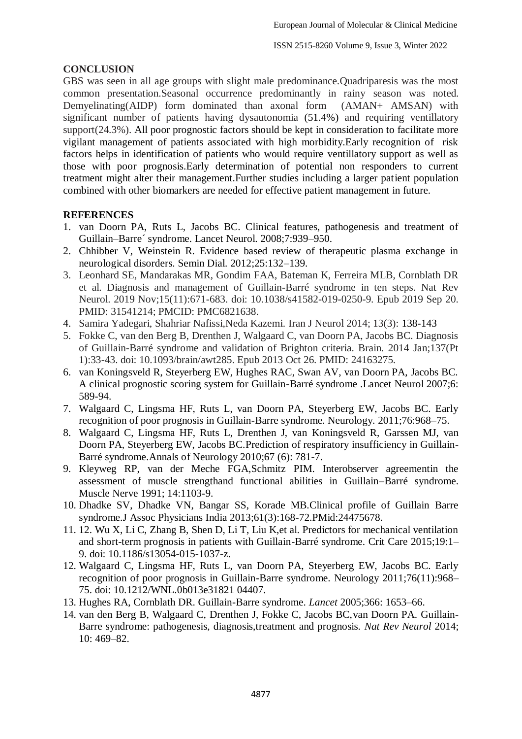### **CONCLUSION**

GBS was seen in all age groups with slight male predominance.Quadriparesis was the most common presentation.Seasonal occurrence predominantly in rainy season was noted. Demyelinating(AIDP) form dominated than axonal form (AMAN+ AMSAN) with significant number of patients having dysautonomia (51.4%) and requiring ventillatory support(24.3%). All poor prognostic factors should be kept in consideration to facilitate more vigilant management of patients associated with high morbidity.Early recognition of risk factors helps in identification of patients who would require ventillatory support as well as those with poor prognosis.Early determination of potential non responders to current treatment might alter their management.Further studies including a larger patient population combined with other biomarkers are needed for effective patient management in future.

### **REFERENCES**

- 1. van Doorn PA, Ruts L, Jacobs BC. Clinical features, pathogenesis and treatment of Guillain–Barre´ syndrome. Lancet Neurol. 2008;7:939–950.
- 2. Chhibber V, Weinstein R. Evidence based review of therapeutic plasma exchange in neurological disorders. Semin Dial. 2012;25:132–139.
- 3. Leonhard SE, Mandarakas MR, Gondim FAA, Bateman K, Ferreira MLB, Cornblath DR et al. Diagnosis and management of Guillain-Barré syndrome in ten steps. Nat Rev Neurol. 2019 Nov;15(11):671-683. doi: 10.1038/s41582-019-0250-9. Epub 2019 Sep 20. PMID: 31541214; PMCID: PMC6821638.
- 4. Samira Yadegari, Shahriar Nafissi,Neda Kazemi. Iran J Neurol 2014; 13(3): 138-143
- 5. Fokke C, van den Berg B, Drenthen J, Walgaard C, van Doorn PA, Jacobs BC. Diagnosis of Guillain-Barré syndrome and validation of Brighton criteria. Brain. 2014 Jan;137(Pt 1):33-43. doi: 10.1093/brain/awt285. Epub 2013 Oct 26. PMID: 24163275.
- 6. [van Koningsveld R, Steyerberg EW, Hughes RAC, Swan AV, van Doorn PA, Jacobs BC.](https://www.thelancet.com/journals/laneur/article/PIIS1474-4422(07)70130-8/fulltext)  [A clinical prognostic scoring system for Guillain-Barré syndrome .Lancet Neurol 2007;6:](https://www.thelancet.com/journals/laneur/article/PIIS1474-4422(07)70130-8/fulltext)  589-94.
- 7. Walgaard C, Lingsma HF, Ruts L, van Doorn PA, Steyerberg EW, Jacobs BC. Early recognition of poor prognosis in Guillain-Barre syndrome. Neurology. 2011;76:968–75.
- 8. Walgaard C, Lingsma HF, Ruts L, Drenthen J, van Koningsveld R, Garssen MJ, van Doorn PA, Steyerberg EW, Jacobs BC[.Prediction of respiratory insufficiency in Guillain-](http://www.qxmd.com/pubmed/20517939)[Barré syndrome.A](http://www.qxmd.com/pubmed/20517939)nnals of Neurology 2010;67 (6): 781-7.
- 9. Kleyweg RP, van der Meche FGA,Schmitz PIM. Interobserver agreementin the assessment of muscle strengthand functional abilities in Guillain–Barré syndrome. Muscle Nerve 1991; 14:1103-9.
- 10. Dhadke SV, Dhadke VN, Bangar SS, Korade MB.Clinical profile of Guillain Barre syndrome.J Assoc Physicians India 2013;61(3):168-72.PMid:24475678.
- 11. 12. Wu X, Li C, Zhang B, Shen D, Li T, Liu K,et al. Predictors for mechanical ventilation and short-term prognosis in patients with Guillain-Barré syndrome. Crit Care 2015;19:1– 9. doi: 10.1186/s13054-015-1037-z.
- 12. Walgaard C, Lingsma HF, Ruts L, van Doorn PA, Steyerberg EW, Jacobs BC. Early recognition of poor prognosis in Guillain-Barre syndrome. Neurology 2011;76(11):968– 75. doi: 10.1212/WNL.0b013e31821 04407.
- 13. Hughes RA, Cornblath DR. Guillain-Barre syndrome. *Lancet* 2005;366: 1653–66.
- 14. van den Berg B, Walgaard C, Drenthen J, Fokke C, Jacobs BC,van Doorn PA. Guillain-Barre syndrome: pathogenesis, diagnosis,treatment and prognosis. *Nat Rev Neurol* 2014; 10: 469–82.